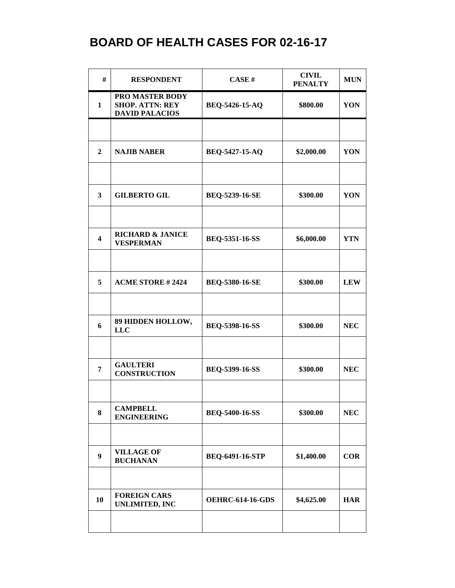| #                       | <b>RESPONDENT</b>                                                  | CASE#                   | <b>CIVIL</b><br><b>PENALTY</b> | <b>MUN</b> |
|-------------------------|--------------------------------------------------------------------|-------------------------|--------------------------------|------------|
| $\mathbf{1}$            | PRO MASTER BODY<br><b>SHOP. ATTN: REY</b><br><b>DAVID PALACIOS</b> | BEQ-5426-15-AQ          | \$800.00                       | YON        |
|                         |                                                                    |                         |                                |            |
| $\boldsymbol{2}$        | <b>NAJIB NABER</b>                                                 | <b>BEQ-5427-15-AQ</b>   | \$2,000.00                     | YON        |
|                         |                                                                    |                         |                                |            |
| 3                       | <b>GILBERTO GIL</b>                                                | <b>BEQ-5239-16-SE</b>   | \$300.00                       | YON        |
|                         |                                                                    |                         |                                |            |
| $\overline{\mathbf{4}}$ | <b>RICHARD &amp; JANICE</b><br><b>VESPERMAN</b>                    | <b>BEQ-5351-16-SS</b>   | \$6,000.00                     | <b>YTN</b> |
|                         |                                                                    |                         |                                |            |
| 5                       | <b>ACME STORE #2424</b>                                            | <b>BEQ-5380-16-SE</b>   | \$300.00                       | <b>LEW</b> |
|                         |                                                                    |                         |                                |            |
| 6                       | 89 HIDDEN HOLLOW,<br><b>LLC</b>                                    | <b>BEQ-5398-16-SS</b>   | \$300.00                       | <b>NEC</b> |
|                         |                                                                    |                         |                                |            |
| 7                       | <b>GAULTERI</b><br><b>CONSTRUCTION</b>                             | BEQ-5399-16-SS          | \$300.00                       | <b>NEC</b> |
|                         |                                                                    |                         |                                |            |
| 8                       | <b>CAMPBELL</b><br><b>ENGINEERING</b>                              | <b>BEQ-5400-16-SS</b>   | \$300.00                       | NEC        |
|                         |                                                                    |                         |                                |            |
| 9                       | <b>VILLAGE OF</b><br><b>BUCHANAN</b>                               | BEQ-6491-16-STP         | \$1,400.00                     | <b>COR</b> |
|                         |                                                                    |                         |                                |            |
| 10                      | <b>FOREIGN CARS</b><br><b>UNLIMITED, INC</b>                       | <b>OEHRC-614-16-GDS</b> | \$4,625.00                     | <b>HAR</b> |
|                         |                                                                    |                         |                                |            |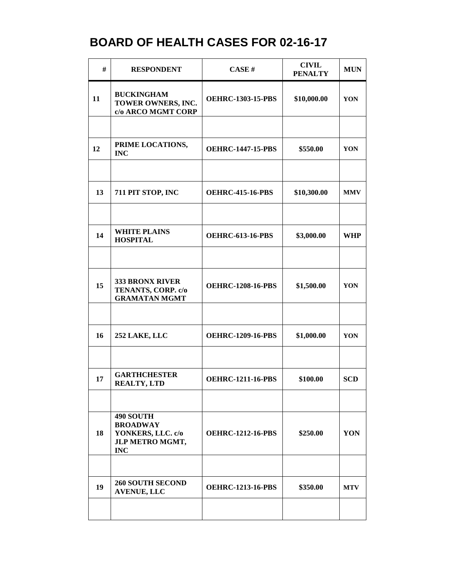| #  | <b>RESPONDENT</b>                                                                         | CASE#                    | <b>CIVIL</b><br><b>PENALTY</b> | <b>MUN</b> |
|----|-------------------------------------------------------------------------------------------|--------------------------|--------------------------------|------------|
| 11 | <b>BUCKINGHAM</b><br>TOWER OWNERS, INC.<br>c/o ARCO MGMT CORP                             | <b>OEHRC-1303-15-PBS</b> | \$10,000.00                    | YON        |
|    |                                                                                           |                          |                                |            |
| 12 | PRIME LOCATIONS,<br><b>INC</b>                                                            | <b>OEHRC-1447-15-PBS</b> | \$550.00                       | YON        |
|    |                                                                                           |                          |                                |            |
| 13 | 711 PIT STOP, INC                                                                         | <b>OEHRC-415-16-PBS</b>  | \$10,300.00                    | <b>MMV</b> |
|    |                                                                                           |                          |                                |            |
| 14 | <b>WHITE PLAINS</b><br><b>HOSPITAL</b>                                                    | <b>OEHRC-613-16-PBS</b>  | \$3,000.00                     | <b>WHP</b> |
|    |                                                                                           |                          |                                |            |
| 15 | <b>333 BRONX RIVER</b><br>TENANTS, CORP. c/o<br><b>GRAMATAN MGMT</b>                      | <b>OEHRC-1208-16-PBS</b> | \$1,500.00                     | YON        |
|    |                                                                                           |                          |                                |            |
| 16 | 252 LAKE, LLC                                                                             | <b>OEHRC-1209-16-PBS</b> | \$1,000.00                     | YON        |
|    |                                                                                           |                          |                                |            |
| 17 | <b>GARTHCHESTER</b><br><b>REALTY, LTD</b>                                                 | <b>OEHRC-1211-16-PBS</b> | \$100.00                       | <b>SCD</b> |
|    |                                                                                           |                          |                                |            |
| 18 | <b>490 SOUTH</b><br><b>BROADWAY</b><br>YONKERS, LLC. c/o<br>JLP METRO MGMT,<br><b>INC</b> | <b>OEHRC-1212-16-PBS</b> | \$250.00                       | YON        |
|    |                                                                                           |                          |                                |            |
| 19 | <b>260 SOUTH SECOND</b><br><b>AVENUE, LLC</b>                                             | <b>OEHRC-1213-16-PBS</b> | \$350.00                       | <b>MTV</b> |
|    |                                                                                           |                          |                                |            |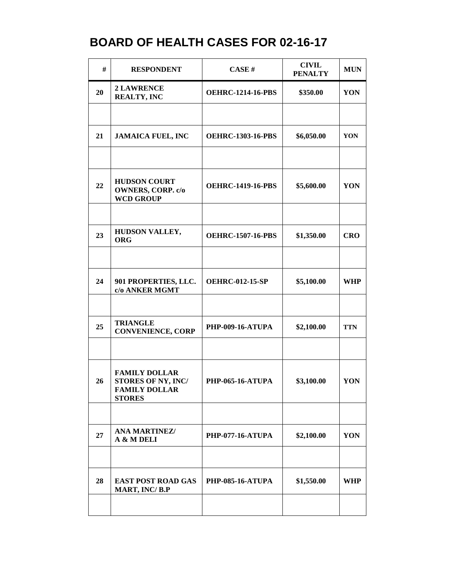| #  | <b>RESPONDENT</b>                                                                   | CASE#                    | <b>CIVIL</b><br><b>PENALTY</b> | <b>MUN</b> |
|----|-------------------------------------------------------------------------------------|--------------------------|--------------------------------|------------|
| 20 | <b>2 LAWRENCE</b><br><b>REALTY, INC</b>                                             | <b>OEHRC-1214-16-PBS</b> | \$350.00                       | YON        |
|    |                                                                                     |                          |                                |            |
| 21 | <b>JAMAICA FUEL, INC</b>                                                            | <b>OEHRC-1303-16-PBS</b> | \$6,050.00                     | YON        |
|    |                                                                                     |                          |                                |            |
| 22 | <b>HUDSON COURT</b><br><b>OWNERS, CORP. c/o</b><br><b>WCD GROUP</b>                 | <b>OEHRC-1419-16-PBS</b> | \$5,600.00                     | YON        |
|    |                                                                                     |                          |                                |            |
| 23 | HUDSON VALLEY,<br><b>ORG</b>                                                        | <b>OEHRC-1507-16-PBS</b> | \$1,350.00                     | <b>CRO</b> |
|    |                                                                                     |                          |                                |            |
| 24 | 901 PROPERTIES, LLC.<br>c/o ANKER MGMT                                              | <b>OEHRC-012-15-SP</b>   | \$5,100.00                     | <b>WHP</b> |
|    |                                                                                     |                          |                                |            |
| 25 | <b>TRIANGLE</b><br><b>CONVENIENCE, CORP</b>                                         | <b>PHP-009-16-ATUPA</b>  | \$2,100.00                     | <b>TTN</b> |
|    |                                                                                     |                          |                                |            |
| 26 | <b>FAMILY DOLLAR</b><br>STORES OF NY, INC/<br><b>FAMILY DOLLAR</b><br><b>STORES</b> | <b>PHP-065-16-ATUPA</b>  | \$3,100.00                     | YON        |
|    |                                                                                     |                          |                                |            |
| 27 | <b>ANA MARTINEZ/</b><br>A & M DELI                                                  | <b>PHP-077-16-ATUPA</b>  | \$2,100.00                     | YON        |
|    |                                                                                     |                          |                                |            |
| 28 | <b>EAST POST ROAD GAS</b><br>MART, INC/B.P                                          | <b>PHP-085-16-ATUPA</b>  | \$1,550.00                     | <b>WHP</b> |
|    |                                                                                     |                          |                                |            |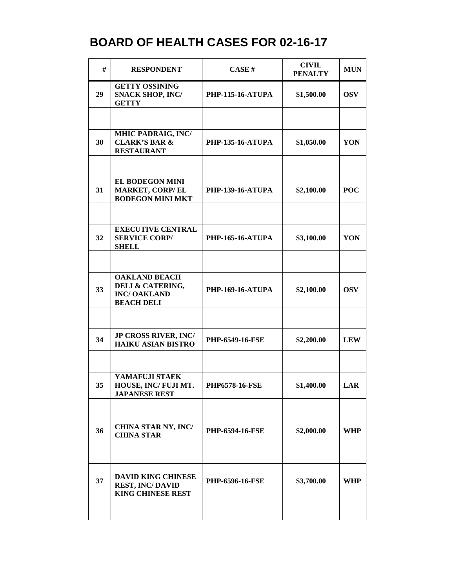| #  | <b>RESPONDENT</b>                                                                   | CASE#                   | <b>CIVIL</b><br><b>PENALTY</b> | <b>MUN</b> |
|----|-------------------------------------------------------------------------------------|-------------------------|--------------------------------|------------|
| 29 | <b>GETTY OSSINING</b><br><b>SNACK SHOP, INC/</b><br><b>GETTY</b>                    | <b>PHP-115-16-ATUPA</b> | \$1,500.00                     | <b>OSV</b> |
|    |                                                                                     |                         |                                |            |
| 30 | MHIC PADRAIG, INC/<br><b>CLARK'S BAR &amp;</b><br><b>RESTAURANT</b>                 | <b>PHP-135-16-ATUPA</b> | \$1,050.00                     | YON        |
|    |                                                                                     |                         |                                |            |
| 31 | <b>EL BODEGON MINI</b><br><b>MARKET, CORP/EL</b><br><b>BODEGON MINI MKT</b>         | <b>PHP-139-16-ATUPA</b> | \$2,100.00                     | <b>POC</b> |
|    |                                                                                     |                         |                                |            |
| 32 | <b>EXECUTIVE CENTRAL</b><br><b>SERVICE CORP/</b><br><b>SHELL</b>                    | <b>PHP-165-16-ATUPA</b> | \$3,100.00                     | YON        |
|    |                                                                                     |                         |                                |            |
| 33 | <b>OAKLAND BEACH</b><br>DELI & CATERING,<br><b>INC/OAKLAND</b><br><b>BEACH DELI</b> | <b>PHP-169-16-ATUPA</b> | \$2,100.00                     | <b>OSV</b> |
|    |                                                                                     |                         |                                |            |
| 34 | JP CROSS RIVER, INC/<br><b>HAIKU ASIAN BISTRO</b>                                   | PHP-6549-16-FSE         | \$2,200.00                     | <b>LEW</b> |
|    |                                                                                     |                         |                                |            |
| 35 | YAMAFUJI STAEK<br>HOUSE, INC/FUJI MT.<br><b>JAPANESE REST</b>                       | <b>PHP6578-16-FSE</b>   | \$1,400.00                     | LAR        |
|    |                                                                                     |                         |                                |            |
| 36 | <b>CHINA STAR NY, INC/</b><br><b>CHINA STAR</b>                                     | <b>PHP-6594-16-FSE</b>  | \$2,000.00                     | WHP        |
|    |                                                                                     |                         |                                |            |
| 37 | <b>DAVID KING CHINESE</b><br><b>REST, INC/DAVID</b><br><b>KING CHINESE REST</b>     | <b>PHP-6596-16-FSE</b>  | \$3,700.00                     | WHP        |
|    |                                                                                     |                         |                                |            |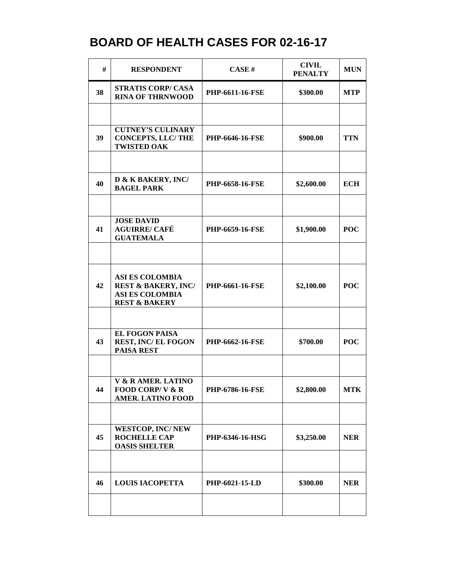| #  | <b>RESPONDENT</b>                                                                                              | CASE#                  | <b>CIVIL</b><br><b>PENALTY</b> | <b>MUN</b> |
|----|----------------------------------------------------------------------------------------------------------------|------------------------|--------------------------------|------------|
| 38 | <b>STRATIS CORP/ CASA</b><br><b>RINA OF THRNWOOD</b>                                                           | PHP-6611-16-FSE        | \$300.00                       | <b>MTP</b> |
|    |                                                                                                                |                        |                                |            |
| 39 | <b>CUTNEY'S CULINARY</b><br><b>CONCEPTS, LLC/THE</b><br><b>TWISTED OAK</b>                                     | <b>PHP-6646-16-FSE</b> | \$900.00                       | <b>TTN</b> |
|    |                                                                                                                |                        |                                |            |
| 40 | D & K BAKERY, INC/<br><b>BAGEL PARK</b>                                                                        | <b>PHP-6658-16-FSE</b> | \$2,600.00                     | <b>ECH</b> |
|    |                                                                                                                |                        |                                |            |
| 41 | <b>JOSE DAVID</b><br><b>AGUIRRE/ CAFÉ</b><br><b>GUATEMALA</b>                                                  | PHP-6659-16-FSE        | \$1,900.00                     | <b>POC</b> |
|    |                                                                                                                |                        |                                |            |
| 42 | <b>ASI ES COLOMBIA</b><br><b>REST &amp; BAKERY, INC/</b><br><b>ASI ES COLOMBIA</b><br><b>REST &amp; BAKERY</b> | <b>PHP-6661-16-FSE</b> | \$2,100.00                     | <b>POC</b> |
|    |                                                                                                                |                        |                                |            |
| 43 | <b>EL FOGON PAISA</b><br><b>REST, INC/EL FOGON</b><br><b>PAISA REST</b>                                        | <b>PHP-6662-16-FSE</b> | \$700.00                       | <b>POC</b> |
|    |                                                                                                                |                        |                                |            |
| 44 | V & R AMER, LATINO<br>FOOD CORP/V $\&$ R<br><b>AMER. LATINO FOOD</b>                                           | <b>PHP-6786-16-FSE</b> | \$2,800.00                     | <b>MTK</b> |
|    |                                                                                                                |                        |                                |            |
| 45 | <b>WESTCOP, INC/NEW</b><br><b>ROCHELLE CAP</b><br><b>OASIS SHELTER</b>                                         | PHP-6346-16-HSG        | \$3,250.00                     | <b>NER</b> |
|    |                                                                                                                |                        |                                |            |
| 46 | <b>LOUIS IACOPETTA</b>                                                                                         | PHP-6021-15-LD         | \$300.00                       | <b>NER</b> |
|    |                                                                                                                |                        |                                |            |